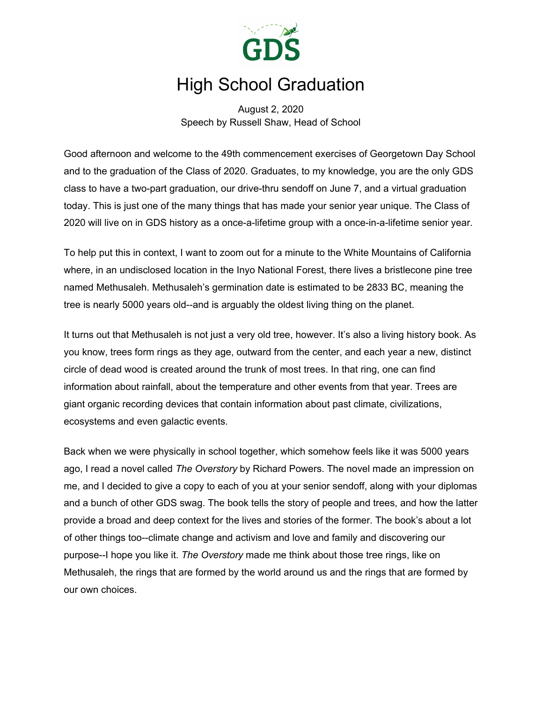

# High School Graduation

August 2, 2020 Speech by Russell Shaw, Head of School

Good afternoon and welcome to the 49th commencement exercises of Georgetown Day School and to the graduation of the Class of 2020. Graduates, to my knowledge, you are the only GDS class to have a two-part graduation, our drive-thru sendoff on June 7, and a virtual graduation today. This is just one of the many things that has made your senior year unique. The Class of 2020 will live on in GDS history as a once-a-lifetime group with a once-in-a-lifetime senior year.

To help put this in context, I want to zoom out for a minute to the White Mountains of California where, in an undisclosed location in the Inyo National Forest, there lives a bristlecone pine tree named Methusaleh. Methusaleh's germination date is estimated to be 2833 BC, meaning the tree is nearly 5000 years old--and is arguably the oldest living thing on the planet.

It turns out that Methusaleh is not just a very old tree, however. It's also a living history book. As you know, trees form rings as they age, outward from the center, and each year a new, distinct circle of dead wood is created around the trunk of most trees. In that ring, one can find information about rainfall, about the temperature and other events from that year. Trees are giant organic recording devices that contain information about past climate, civilizations, ecosystems and even galactic events.

Back when we were physically in school together, which somehow feels like it was 5000 years ago, I read a novel called *The Overstory* by Richard Powers. The novel made an impression on me, and I decided to give a copy to each of you at your senior sendoff, along with your diplomas and a bunch of other GDS swag. The book tells the story of people and trees, and how the latter provide a broad and deep context for the lives and stories of the former. The book's about a lot of other things too--climate change and activism and love and family and discovering our purpose--I hope you like it. *The Overstory* made me think about those tree rings, like on Methusaleh, the rings that are formed by the world around us and the rings that are formed by our own choices.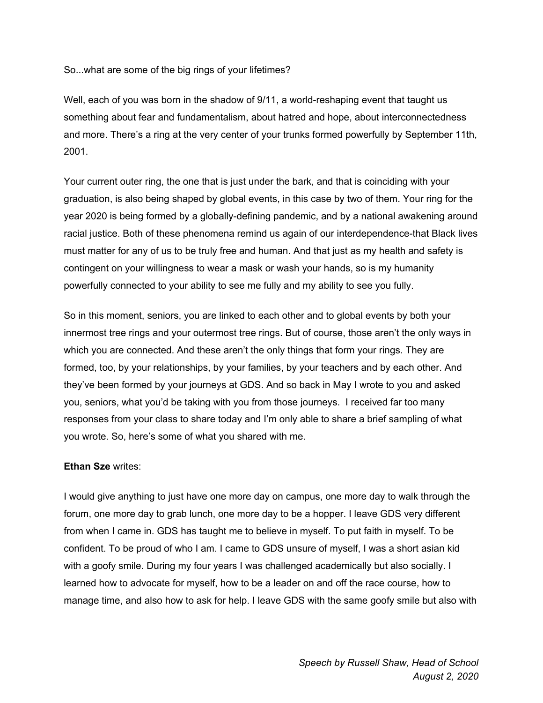So...what are some of the big rings of your lifetimes?

Well, each of you was born in the shadow of 9/11, a world-reshaping event that taught us something about fear and fundamentalism, about hatred and hope, about interconnectedness and more. There's a ring at the very center of your trunks formed powerfully by September 11th, 2001.

Your current outer ring, the one that is just under the bark, and that is coinciding with your graduation, is also being shaped by global events, in this case by two of them. Your ring for the year 2020 is being formed by a globally-defining pandemic, and by a national awakening around racial justice. Both of these phenomena remind us again of our interdependence-that Black lives must matter for any of us to be truly free and human. And that just as my health and safety is contingent on your willingness to wear a mask or wash your hands, so is my humanity powerfully connected to your ability to see me fully and my ability to see you fully.

So in this moment, seniors, you are linked to each other and to global events by both your innermost tree rings and your outermost tree rings. But of course, those aren't the only ways in which you are connected. And these aren't the only things that form your rings. They are formed, too, by your relationships, by your families, by your teachers and by each other. And they've been formed by your journeys at GDS. And so back in May I wrote to you and asked you, seniors, what you'd be taking with you from those journeys. I received far too many responses from your class to share today and I'm only able to share a brief sampling of what you wrote. So, here's some of what you shared with me.

## **Ethan Sze** writes:

I would give anything to just have one more day on campus, one more day to walk through the forum, one more day to grab lunch, one more day to be a hopper. I leave GDS very different from when I came in. GDS has taught me to believe in myself. To put faith in myself. To be confident. To be proud of who I am. I came to GDS unsure of myself, I was a short asian kid with a goofy smile. During my four years I was challenged academically but also socially. I learned how to advocate for myself, how to be a leader on and off the race course, how to manage time, and also how to ask for help. I leave GDS with the same goofy smile but also with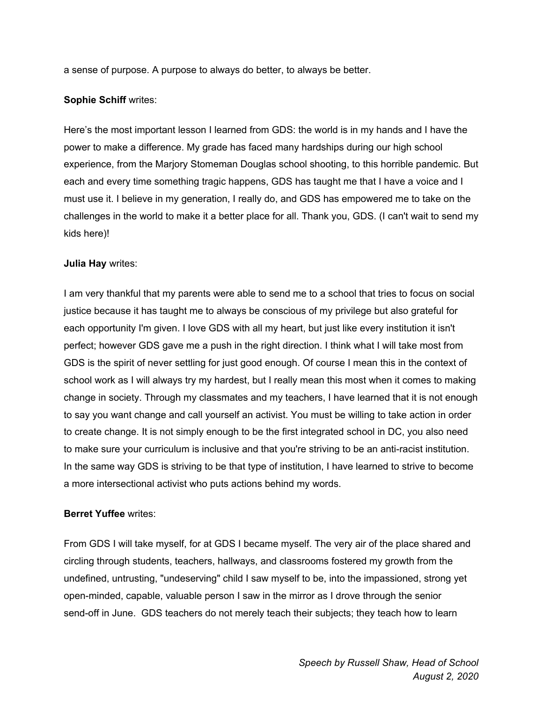a sense of purpose. A purpose to always do better, to always be better.

## **Sophie Schiff** writes:

Here's the most important lesson I learned from GDS: the world is in my hands and I have the power to make a difference. My grade has faced many hardships during our high school experience, from the Marjory Stomeman Douglas school shooting, to this horrible pandemic. But each and every time something tragic happens, GDS has taught me that I have a voice and I must use it. I believe in my generation, I really do, and GDS has empowered me to take on the challenges in the world to make it a better place for all. Thank you, GDS. (I can't wait to send my kids here)!

# **Julia Hay** writes:

I am very thankful that my parents were able to send me to a school that tries to focus on social justice because it has taught me to always be conscious of my privilege but also grateful for each opportunity I'm given. I love GDS with all my heart, but just like every institution it isn't perfect; however GDS gave me a push in the right direction. I think what I will take most from GDS is the spirit of never settling for just good enough. Of course I mean this in the context of school work as I will always try my hardest, but I really mean this most when it comes to making change in society. Through my classmates and my teachers, I have learned that it is not enough to say you want change and call yourself an activist. You must be willing to take action in order to create change. It is not simply enough to be the first integrated school in DC, you also need to make sure your curriculum is inclusive and that you're striving to be an anti-racist institution. In the same way GDS is striving to be that type of institution, I have learned to strive to become a more intersectional activist who puts actions behind my words.

## **Berret Yuffee** writes:

From GDS I will take myself, for at GDS I became myself. The very air of the place shared and circling through students, teachers, hallways, and classrooms fostered my growth from the undefined, untrusting, "undeserving" child I saw myself to be, into the impassioned, strong yet open-minded, capable, valuable person I saw in the mirror as I drove through the senior send-off in June. GDS teachers do not merely teach their subjects; they teach how to learn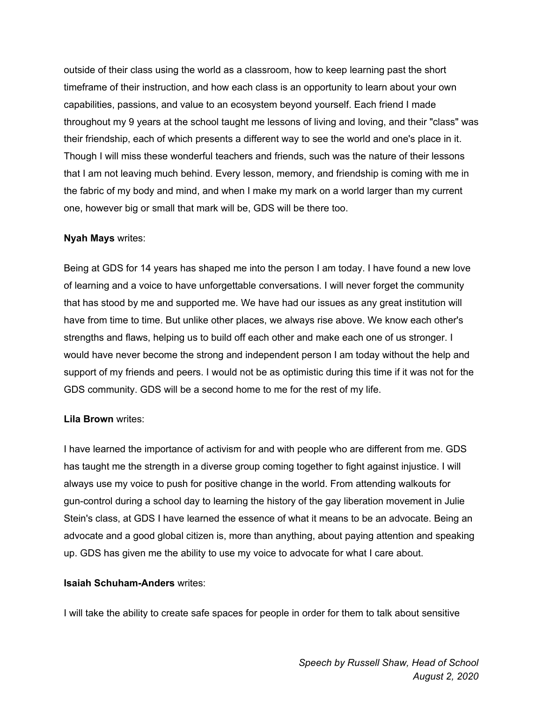outside of their class using the world as a classroom, how to keep learning past the short timeframe of their instruction, and how each class is an opportunity to learn about your own capabilities, passions, and value to an ecosystem beyond yourself. Each friend I made throughout my 9 years at the school taught me lessons of living and loving, and their "class" was their friendship, each of which presents a different way to see the world and one's place in it. Though I will miss these wonderful teachers and friends, such was the nature of their lessons that I am not leaving much behind. Every lesson, memory, and friendship is coming with me in the fabric of my body and mind, and when I make my mark on a world larger than my current one, however big or small that mark will be, GDS will be there too.

## **Nyah Mays** writes:

Being at GDS for 14 years has shaped me into the person I am today. I have found a new love of learning and a voice to have unforgettable conversations. I will never forget the community that has stood by me and supported me. We have had our issues as any great institution will have from time to time. But unlike other places, we always rise above. We know each other's strengths and flaws, helping us to build off each other and make each one of us stronger. I would have never become the strong and independent person I am today without the help and support of my friends and peers. I would not be as optimistic during this time if it was not for the GDS community. GDS will be a second home to me for the rest of my life.

#### **Lila Brown** writes:

I have learned the importance of activism for and with people who are different from me. GDS has taught me the strength in a diverse group coming together to fight against injustice. I will always use my voice to push for positive change in the world. From attending walkouts for gun-control during a school day to learning the history of the gay liberation movement in Julie Stein's class, at GDS I have learned the essence of what it means to be an advocate. Being an advocate and a good global citizen is, more than anything, about paying attention and speaking up. GDS has given me the ability to use my voice to advocate for what I care about.

#### **Isaiah Schuham-Anders** writes:

I will take the ability to create safe spaces for people in order for them to talk about sensitive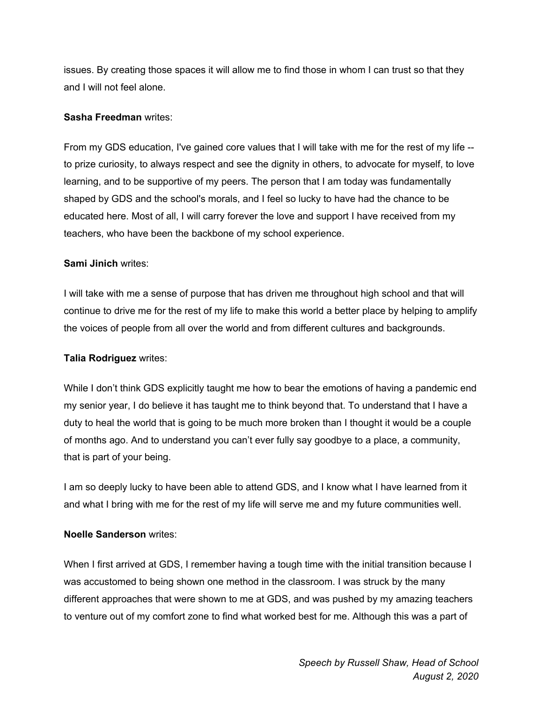issues. By creating those spaces it will allow me to find those in whom I can trust so that they and I will not feel alone.

# **Sasha Freedman** writes:

From my GDS education, I've gained core values that I will take with me for the rest of my life - to prize curiosity, to always respect and see the dignity in others, to advocate for myself, to love learning, and to be supportive of my peers. The person that I am today was fundamentally shaped by GDS and the school's morals, and I feel so lucky to have had the chance to be educated here. Most of all, I will carry forever the love and support I have received from my teachers, who have been the backbone of my school experience.

# **Sami Jinich** writes:

I will take with me a sense of purpose that has driven me throughout high school and that will continue to drive me for the rest of my life to make this world a better place by helping to amplify the voices of people from all over the world and from different cultures and backgrounds.

## **Talia Rodriguez** writes:

While I don't think GDS explicitly taught me how to bear the emotions of having a pandemic end my senior year, I do believe it has taught me to think beyond that. To understand that I have a duty to heal the world that is going to be much more broken than I thought it would be a couple of months ago. And to understand you can't ever fully say goodbye to a place, a community, that is part of your being.

I am so deeply lucky to have been able to attend GDS, and I know what I have learned from it and what I bring with me for the rest of my life will serve me and my future communities well.

## **Noelle Sanderson** writes:

When I first arrived at GDS, I remember having a tough time with the initial transition because I was accustomed to being shown one method in the classroom. I was struck by the many different approaches that were shown to me at GDS, and was pushed by my amazing teachers to venture out of my comfort zone to find what worked best for me. Although this was a part of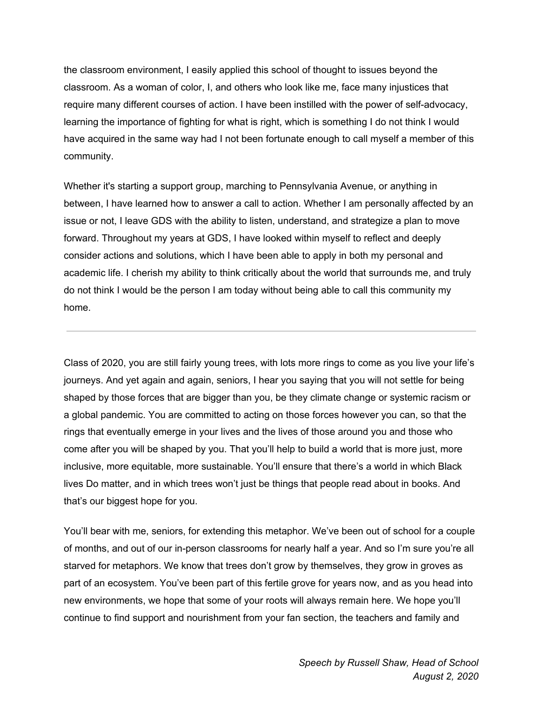the classroom environment, I easily applied this school of thought to issues beyond the classroom. As a woman of color, I, and others who look like me, face many injustices that require many different courses of action. I have been instilled with the power of self-advocacy, learning the importance of fighting for what is right, which is something I do not think I would have acquired in the same way had I not been fortunate enough to call myself a member of this community.

Whether it's starting a support group, marching to Pennsylvania Avenue, or anything in between, I have learned how to answer a call to action. Whether I am personally affected by an issue or not, I leave GDS with the ability to listen, understand, and strategize a plan to move forward. Throughout my years at GDS, I have looked within myself to reflect and deeply consider actions and solutions, which I have been able to apply in both my personal and academic life. I cherish my ability to think critically about the world that surrounds me, and truly do not think I would be the person I am today without being able to call this community my home.

Class of 2020, you are still fairly young trees, with lots more rings to come as you live your life's journeys. And yet again and again, seniors, I hear you saying that you will not settle for being shaped by those forces that are bigger than you, be they climate change or systemic racism or a global pandemic. You are committed to acting on those forces however you can, so that the rings that eventually emerge in your lives and the lives of those around you and those who come after you will be shaped by you. That you'll help to build a world that is more just, more inclusive, more equitable, more sustainable. You'll ensure that there's a world in which Black lives Do matter, and in which trees won't just be things that people read about in books. And that's our biggest hope for you.

You'll bear with me, seniors, for extending this metaphor. We've been out of school for a couple of months, and out of our in-person classrooms for nearly half a year. And so I'm sure you're all starved for metaphors. We know that trees don't grow by themselves, they grow in groves as part of an ecosystem. You've been part of this fertile grove for years now, and as you head into new environments, we hope that some of your roots will always remain here. We hope you'll continue to find support and nourishment from your fan section, the teachers and family and